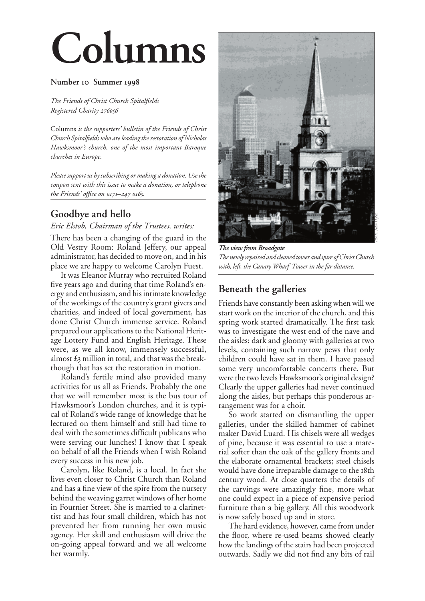# **Columns**

#### Number <sup>IO</sup> Summer 1998

*The Friends of Christ Church Spitalfields Registered Charity* 

Columns *is the supporters' bulletin of the Friends of Christ Church Spitalfields who are leading the restoration of Nicholas Hawksmoor's church, one of the most important Baroque churches in Europe.*

*Please support us by subscribing or making a donation. Use the coupon sent with this issue to make a donation, or telephone the Friends' office on 0171–247 0165.* 

## **Goodbye and hello**

#### *Eric Elstob, Chairman of the Trustees, writes:*

There has been a changing of the guard in the Old Vestry Room: Roland Jeffery, our appeal administrator, has decided to move on, and in his place we are happy to welcome Carolyn Fuest.

It was Eleanor Murray who recruited Roland five years ago and during that time Roland's energy and enthusiasm, and his intimate knowledge of the workings of the country's grant givers and charities, and indeed of local government, has done Christ Church immense service. Roland prepared our applications to the National Heritage Lottery Fund and English Heritage. These were, as we all know, immensely successful, almost  $\pounds$ 3 million in total, and that was the breakthough that has set the restoration in motion.

Roland's fertile mind also provided many activities for us all as Friends. Probably the one that we will remember most is the bus tour of Hawksmoor's London churches, and it is typical of Roland's wide range of knowledge that he lectured on them himself and still had time to deal with the sometimes difficult publicans who were serving our lunches! I know that I speak on behalf of all the Friends when I wish Roland every success in his new job.

Carolyn, like Roland, is a local. In fact she lives even closer to Christ Church than Roland and has a fine view of the spire from the nursery behind the weaving garret windows of her home in Fournier Street. She is married to a clarinettist and has four small children, which has not prevented her from running her own music agency. Her skill and enthusiasm will drive the on-going appeal forward and we all welcome her warmly.



*The view from Broadgate The newly repaired and cleaned tower and spire of Christ Church with, left, the Canary Wharf Tower in the far distance.*

## **Beneath the galleries**

Friends have constantly been asking when will we start work on the interior of the church, and this spring work started dramatically. The first task was to investigate the west end of the nave and the aisles: dark and gloomy with galleries at two levels, containing such narrow pews that only children could have sat in them. I have passed some very uncomfortable concerts there. But were the two levels Hawksmoor's original design? Clearly the upper galleries had never continued along the aisles, but perhaps this ponderous arrangement was for a choir.

So work started on dismantling the upper galleries, under the skilled hammer of cabinet maker David Luard. His chisels were all wedges of pine, because it was essential to use a material softer than the oak of the gallery fronts and the elaborate ornamental brackets; steel chisels would have done irreparable damage to the 18th century wood. At close quarters the details of the carvings were amazingly fine, more what one could expect in a piece of expensive period furniture than a big gallery. All this woodwork is now safely boxed up and in store.

The hard evidence, however, came from under the floor, where re-used beams showed clearly how the landings of the stairs had been projected outwards. Sadly we did not find any bits of rail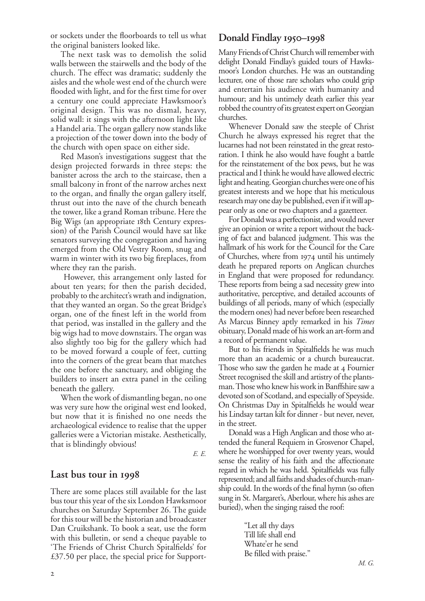The next task was to demolish the solid walls between the stairwells and the body of the church. The effect was dramatic; suddenly the aisles and the whole west end of the church were flooded with light, and for the first time for over a century one could appreciate Hawksmoor's original design. This was no dismal, heavy, solid wall: it sings with the afternoon light like a Handel aria. The organ gallery now stands like a projection of the tower down into the body of the church with open space on either side.

Red Mason's investigations suggest that the design projected forwards in three steps: the banister across the arch to the staircase, then a small balcony in front of the narrow arches next to the organ, and finally the organ gallery itself, thrust out into the nave of the church beneath the tower, like a grand Roman tribune. Here the Big Wigs (an appropriate 18th Century expression) of the Parish Council would have sat like senators surveying the congregation and having emerged from the Old Vestry Room, snug and warm in winter with its two big fireplaces, from where they ran the parish.

 However, this arrangement only lasted for about ten years; for then the parish decided, probably to the architect's wrath and indignation, that they wanted an organ. So the great Bridge's organ, one of the finest left in the world from that period, was installed in the gallery and the big wigs had to move downstairs. The organ was also slightly too big for the gallery which had to be moved forward a couple of feet, cutting into the corners of the great beam that matches the one before the sanctuary, and obliging the builders to insert an extra panel in the ceiling beneath the gallery.

When the work of dismantling began, no one was very sure how the original west end looked, but now that it is finished no one needs the archaeological evidence to realise that the upper galleries were a Victorian mistake. Aesthetically, that is blindingly obvious!

*E. E.*

## **Last bus tour in**

There are some places still available for the last bus tour this year of the six London Hawksmoor churches on Saturday September 26. The guide for this tour will be the historian and broadcaster Dan Cruikshank. To book a seat, use the form with this bulletin, or send a cheque payable to 'The Friends of Christ Church Spitalfields' for £37.50 per place, the special price for Support-

## Donald Findlay **1950–1998**

Many Friends of Christ Church will remember with delight Donald Findlay's guided tours of Hawksmoor's London churches. He was an outstanding lecturer, one of those rare scholars who could grip and entertain his audience with humanity and humour; and his untimely death earlier this year robbed the country of its greatest expert on Georgian churches.

Whenever Donald saw the steeple of Christ Church he always expressed his regret that the lucarnes had not been reinstated in the great restoration. I think he also would have fought a battle for the reinstatement of the box pews, but he was practical and I think he would have allowed electric light and heating. Georgian churches were one of his greatest interests and we hope that his meticulous research may one day be published, even if it will appear only as one or two chapters and a gazetteer.

For Donald was a perfectionist, and would never give an opinion or write a report without the backing of fact and balanced judgment. This was the hallmark of his work for the Council for the Care of Churches, where from 1974 until his untimely death he prepared reports on Anglican churches in England that were proposed for redundancy. These reports from being a sad necessity grew into authoritative, perceptive, and detailed accounts of buildings of all periods, many of which (especially the modern ones) had never before been researched As Marcus Binney aptly remarked in his *Times*  obituary, Donald made of his work an art-form and a record of permanent value.

But to his friends in Spitalfields he was much more than an academic or a church bureaucrat. Those who saw the garden he made at 4 Fournier Street recognised the skill and artistry of the plantsman. Those who knew his work in Banffshire saw a devoted son of Scotland, and especially of Speyside. On Christmas Day in Spitalfields he would wear his Lindsay tartan kilt for dinner - but never, never, in the street.

Donald was a High Anglican and those who attended the funeral Requiem in Grosvenor Chapel, where he worshipped for over twenty years, would sense the reality of his faith and the affectionate regard in which he was held. Spitalfields was fully represented; and all faiths and shades of church-manship could. In the words of the final hymn (so often sung in St. Margaret's, Aberlour, where his ashes are buried), when the singing raised the roof:

> "Let all thy days Till life shall end Whate'er he send Be filled with praise."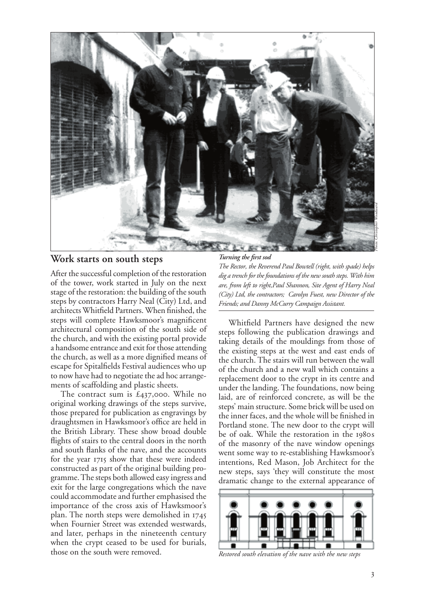

#### **Work starts on south steps**

After the successful completion of the restoration of the tower, work started in July on the next stage of the restoration: the building of the south steps by contractors Harry Neal (City) Ltd, and architects Whitfield Partners. When finished, the steps will complete Hawksmoor's magnificent architectural composition of the south side of the church, and with the existing portal provide a handsome entrance and exit for those attending the church, as well as a more dignified means of escape for Spitalfields Festival audiences who up to now have had to negotiate the ad hoc arrangements of scaffolding and plastic sheets.

The contract sum is  $\text{\pounds}_{437,000}$ . While no original working drawings of the steps survive, those prepared for publication as engravings by draughtsmen in Hawksmoor's office are held in the British Library. These show broad double flights of stairs to the central doors in the north and south flanks of the nave, and the accounts for the year 1715 show that these were indeed constructed as part of the original building programme. The steps both allowed easy ingress and exit for the large congregations which the nave could accommodate and further emphasised the importance of the cross axis of Hawksmoor's plan. The north steps were demolished in when Fournier Street was extended westwards, and later, perhaps in the nineteenth century when the crypt ceased to be used for burials, those on the south were removed.

*Turning the first sod The Rector, the Reverend Paul Bowtell (right, with spade) helps dig a trench for the foundations of the new south steps. With him are, from left to right,Paul Shannon, Site Agent of Harry Neal (City) Ltd, the contractors; Carolyn Fuest, new Director of the Friends; and Danny McCurry Campaign Assistant.*

Whitfield Partners have designed the new steps following the publication drawings and taking details of the mouldings from those of the existing steps at the west and east ends of the church. The stairs will run between the wall of the church and a new wall which contains a replacement door to the crypt in its centre and under the landing. The foundations, now being laid, are of reinforced concrete, as will be the steps' main structure. Some brick will be used on the inner faces, and the whole will be finished in Portland stone. The new door to the crypt will be of oak. While the restoration in the 1980s of the masonry of the nave window openings went some way to re-establishing Hawksmoor's intentions, Red Mason, Job Architect for the new steps, says 'they will constitute the most Turning the first sod<br>The Rector, the Reverend Paul Bowtell (right, with spade) helps<br>dig a trench for the foundations of the new south steps. With him<br>are, from left to right,Paul Shamnon, Site Agent of Harry Neal<br>(City)



*Restored south elevation of the nave with the new steps*